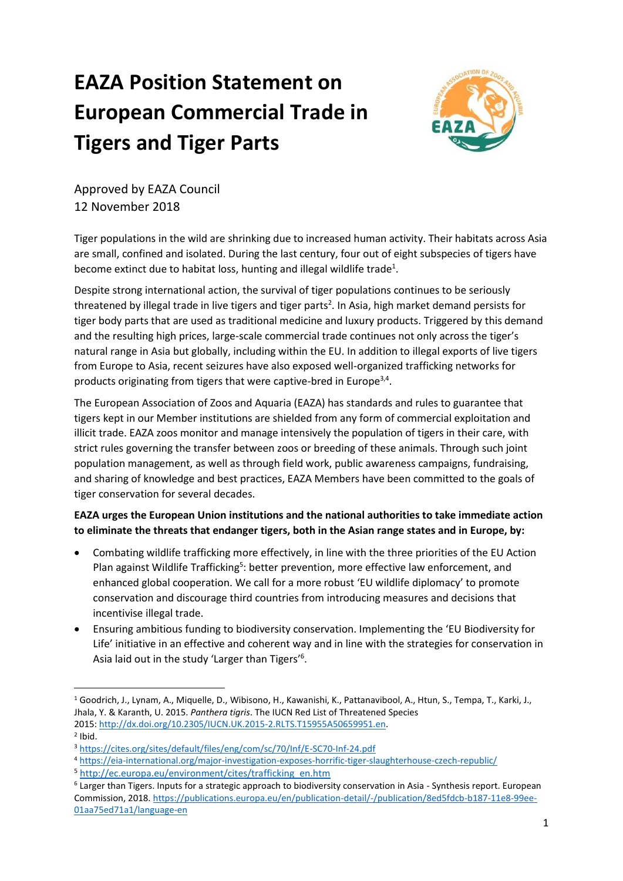# **EAZA Position Statement on European Commercial Trade in Tigers and Tiger Parts**



Approved by EAZA Council 12 November 2018

Tiger populations in the wild are shrinking due to increased human activity. Their habitats across Asia are small, confined and isolated. During the last century, four out of eight subspecies of tigers have become extinct due to habitat loss, hunting and illegal wildlife trade<sup>1</sup>.

Despite strong international action, the survival of tiger populations continues to be seriously threatened by illegal trade in live tigers and tiger parts<sup>2</sup>. In Asia, high market demand persists for tiger body parts that are used as traditional medicine and luxury products. Triggered by this demand and the resulting high prices, large-scale commercial trade continues not only across the tiger's natural range in Asia but globally, including within the EU. In addition to illegal exports of live tigers from Europe to Asia, recent seizures have also exposed well-organized trafficking networks for products originating from tigers that were captive-bred in Europe<sup>3,4</sup>.

The European Association of Zoos and Aquaria (EAZA) has standards and rules to guarantee that tigers kept in our Member institutions are shielded from any form of commercial exploitation and illicit trade. EAZA zoos monitor and manage intensively the population of tigers in their care, with strict rules governing the transfer between zoos or breeding of these animals. Through such joint population management, as well as through field work, public awareness campaigns, fundraising, and sharing of knowledge and best practices, EAZA Members have been committed to the goals of tiger conservation for several decades.

**EAZA urges the European Union institutions and the national authorities to take immediate action to eliminate the threats that endanger tigers, both in the Asian range states and in Europe, by:** 

- Combating wildlife trafficking more effectively, in line with the three priorities of the EU Action Plan against Wildlife Trafficking<sup>5</sup>: better prevention, more effective law enforcement, and enhanced global cooperation. We call for a more robust 'EU wildlife diplomacy' to promote conservation and discourage third countries from introducing measures and decisions that incentivise illegal trade.
- Ensuring ambitious funding to biodiversity conservation. Implementing the 'EU Biodiversity for Life' initiative in an effective and coherent way and in line with the strategies for conservation in Asia laid out in the study 'Larger than Tigers'<sup>6</sup>.

l

<sup>1</sup> Goodrich, J., Lynam, A., Miquelle, D., Wibisono, H., Kawanishi, K., Pattanavibool, A., Htun, S., Tempa, T., Karki, J., Jhala, Y. & Karanth, U. 2015. *Panthera tigris*. The IUCN Red List of Threatened Species 2015: [http://dx.doi.org/10.2305/IUCN.UK.2015-2.RLTS.T15955A50659951.en.](http://dx.doi.org/10.2305/IUCN.UK.2015-2.RLTS.T15955A50659951.en)  $2$  Ibid.

<sup>3</sup> <https://cites.org/sites/default/files/eng/com/sc/70/Inf/E-SC70-Inf-24.pdf>

<sup>4</sup> <https://eia-international.org/major-investigation-exposes-horrific-tiger-slaughterhouse-czech-republic/>

<sup>5</sup> [http://ec.europa.eu/environment/cites/trafficking\\_en.htm](http://ec.europa.eu/environment/cites/trafficking_en.htm)

<sup>6</sup> Larger than Tigers. Inputs for a strategic approach to biodiversity conservation in Asia - Synthesis report. European Commission, 2018[. https://publications.europa.eu/en/publication-detail/-/publication/8ed5fdcb-b187-11e8-99ee-](https://publications.europa.eu/en/publication-detail/-/publication/8ed5fdcb-b187-11e8-99ee-01aa75ed71a1/language-en)[01aa75ed71a1/language-en](https://publications.europa.eu/en/publication-detail/-/publication/8ed5fdcb-b187-11e8-99ee-01aa75ed71a1/language-en)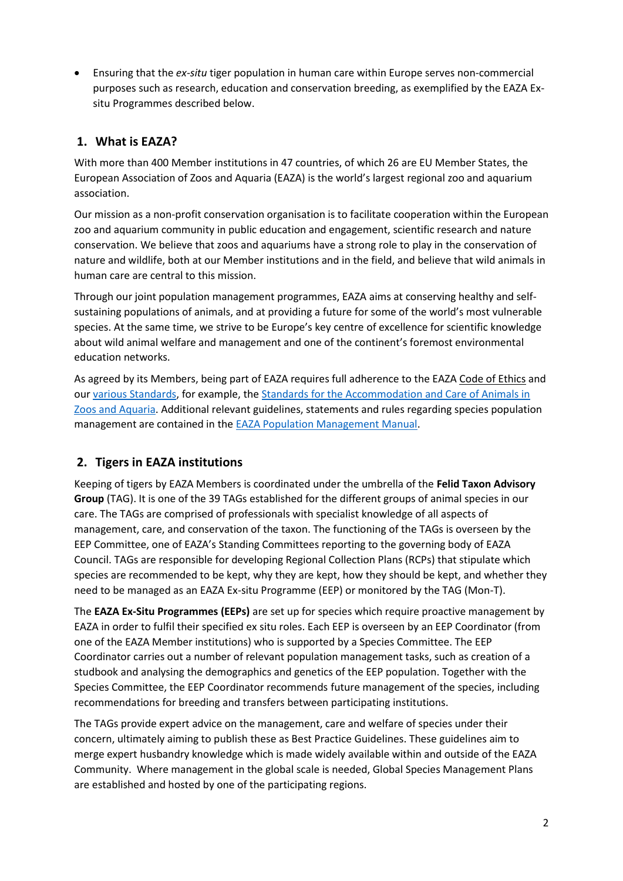• Ensuring that the *ex-situ* tiger population in human care within Europe serves non-commercial purposes such as research, education and conservation breeding, as exemplified by the EAZA Exsitu Programmes described below.

## **1. What is EAZA?**

With more than 400 Member institutions in 47 countries, of which 26 are EU Member States, the European Association of Zoos and Aquaria (EAZA) is the world's largest regional zoo and aquarium association.

Our mission as a non-profit conservation organisation is to facilitate cooperation within the European zoo and aquarium community in public education and engagement, scientific research and nature conservation. We believe that zoos and aquariums have a strong role to play in the conservation of nature and wildlife, both at our Member institutions and in the field, and believe that wild animals in human care are central to this mission.

Through our joint population management programmes, EAZA aims at conserving healthy and selfsustaining populations of animals, and at providing a future for some of the world's most vulnerable species. At the same time, we strive to be Europe's key centre of excellence for scientific knowledge about wild animal welfare and management and one of the continent's foremost environmental education networks.

As agreed by its Members, being part of EAZA requires full adherence to the EAZA [Code of Ethics](https://www.eaza.net/assets/Uploads/Standards-and-policies/EAZA-Code-of-Ethics2015.pdf) and our [various Standards,](https://www.eaza.net/about-us/eazadocuments/) for example, the Standards for the Accommodation and Care of Animals in [Zoos and Aquaria.](https://www.eaza.net/assets/Uploads/Standards-and-policies/Standards-Accommodation-Care-2014-v2.pdf) Additional relevant guidelines, statements and rules regarding species population management are contained in the [EAZA Population Management Manual.](https://www.eaza.net/assets/Uploads/Governing-documents/201702-EAZA-Population-Management-Manual-V1.07-Council-approved-20131401.pdf)

# **2. Tigers in EAZA institutions**

Keeping of tigers by EAZA Members is coordinated under the umbrella of the **Felid Taxon Advisory Group** (TAG). It is one of the 39 TAGs established for the different groups of animal species in our care. The TAGs are comprised of professionals with specialist knowledge of all aspects of management, care, and conservation of the taxon. The functioning of the TAGs is overseen by the EEP Committee, one of EAZA's Standing Committees reporting to the governing body of EAZA Council. TAGs are responsible for developing Regional Collection Plans (RCPs) that stipulate which species are recommended to be kept, why they are kept, how they should be kept, and whether they need to be managed as an EAZA Ex-situ Programme (EEP) or monitored by the TAG (Mon-T).

The **EAZA Ex-Situ Programmes (EEPs)** are set up for species which require proactive management by EAZA in order to fulfil their specified ex situ roles. Each EEP is overseen by an EEP Coordinator (from one of the EAZA Member institutions) who is supported by a Species Committee. The EEP Coordinator carries out a number of relevant population management tasks, such as creation of a studbook and analysing the demographics and genetics of the EEP population. Together with the Species Committee, the EEP Coordinator recommends future management of the species, including recommendations for breeding and transfers between participating institutions.

The TAGs provide expert advice on the management, care and welfare of species under their concern, ultimately aiming to publish these as Best Practice Guidelines. These guidelines aim to merge expert husbandry knowledge which is made widely available within and outside of the EAZA Community. Where management in the global scale is needed, Global Species Management Plans are established and hosted by one of the participating regions.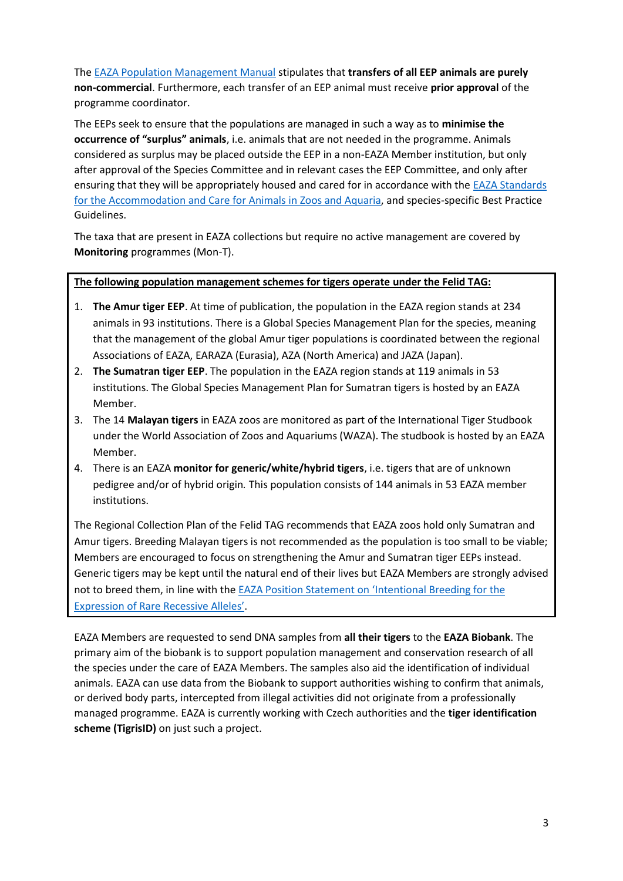The [EAZA Population Management Manual](https://www.eaza.net/assets/Uploads/Governing-documents/201702-EAZA-Population-Management-Manual-V1.07-Council-approved-20131401.pdf) stipulates that **transfers of all EEP animals are purely non-commercial**. Furthermore, each transfer of an EEP animal must receive **prior approval** of the programme coordinator.

The EEPs seek to ensure that the populations are managed in such a way as to **minimise the occurrence of "surplus" animals**, i.e. animals that are not needed in the programme. Animals considered as surplus may be placed outside the EEP in a non-EAZA Member institution, but only after approval of the Species Committee and in relevant cases the EEP Committee, and only after ensuring that they will be appropriately housed and cared for in accordance with the [EAZA Standards](https://www.eaza.net/assets/Uploads/Standards-and-policies/Standards-Accommodation-Care-2014-v2.pdf)  [for the Accommodation and Care for Animals in Zoos and Aquaria,](https://www.eaza.net/assets/Uploads/Standards-and-policies/Standards-Accommodation-Care-2014-v2.pdf) and species-specific Best Practice Guidelines.

The taxa that are present in EAZA collections but require no active management are covered by **Monitoring** programmes (Mon-T).

#### **The following population management schemes for tigers operate under the Felid TAG:**

- 1. **The Amur tiger EEP**. At time of publication, the population in the EAZA region stands at 234 animals in 93 institutions. There is a Global Species Management Plan for the species, meaning that the management of the global Amur tiger populations is coordinated between the regional Associations of EAZA, EARAZA (Eurasia), AZA (North America) and JAZA (Japan).
- 2. **The Sumatran tiger EEP**. The population in the EAZA region stands at 119 animals in 53 institutions. The Global Species Management Plan for Sumatran tigers is hosted by an EAZA Member.
- 3. The 14 **Malayan tigers** in EAZA zoos are monitored as part of the International Tiger Studbook under the World Association of Zoos and Aquariums (WAZA). The studbook is hosted by an EAZA Member.
- 4. There is an EAZA **monitor for generic/white/hybrid tigers**, i.e. tigers that are of unknown pedigree and/or of hybrid origin*.* This population consists of 144 animals in 53 EAZA member institutions.

The Regional Collection Plan of the Felid TAG recommends that EAZA zoos hold only Sumatran and Amur tigers. Breeding Malayan tigers is not recommended as the population is too small to be viable; Members are encouraged to focus on strengthening the Amur and Sumatran tiger EEPs instead. Generic tigers may be kept until the natural end of their lives but EAZA Members are strongly advised not to breed them, in line with the [EAZA Position Statement on 'Intentional Breeding for the](https://www.eaza.net/assets/Uploads/Position-statements/PositionStatementRareRecessiveAlleles.pdf)  [Expression of Rare Recessive Alleles'](https://www.eaza.net/assets/Uploads/Position-statements/PositionStatementRareRecessiveAlleles.pdf).

EAZA Members are requested to send DNA samples from **all their tigers** to the **EAZA Biobank**. The primary aim of the biobank is to support population management and conservation research of all the species under the care of EAZA Members. The samples also aid the identification of individual animals. EAZA can use data from the Biobank to support authorities wishing to confirm that animals, or derived body parts, intercepted from illegal activities did not originate from a professionally managed programme. EAZA is currently working with Czech authorities and the **tiger identification scheme (TigrisID)** on just such a project.